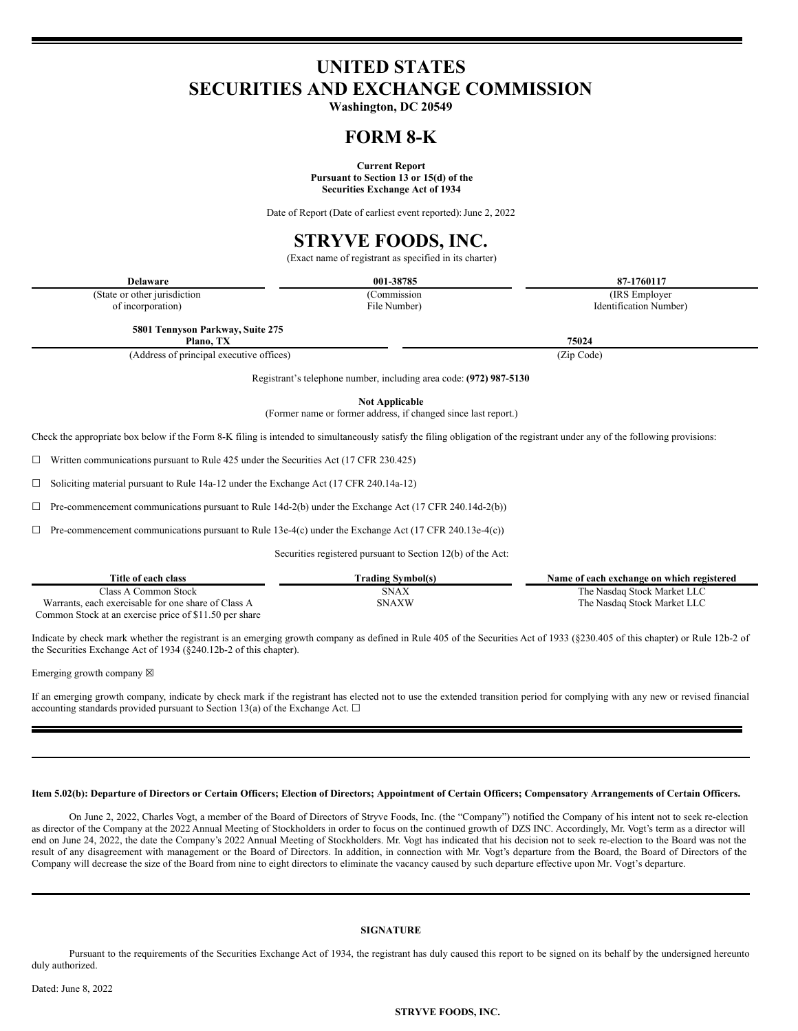# **UNITED STATES SECURITIES AND EXCHANGE COMMISSION**

**Washington, DC 20549**

### **FORM 8-K**

**Current Report**

**Pursuant to Section 13 or 15(d) of the Securities Exchange Act of 1934**

Date of Report (Date of earliest event reported): June 2, 2022

# **STRYVE FOODS, INC.**

(Exact name of registrant as specified in its charter)

| <b>Delaware</b>               | 001-38785    | 87-1760117             |
|-------------------------------|--------------|------------------------|
| (State or other jurisdiction) | Commission   | (IRS Employer)         |
| of incorporation)             | File Number) | Identification Number) |

**5801 Tennyson Parkway, Suite 275**

**Plano, TX 75024** (Address of principal executive offices) (Zip Code)

Registrant's telephone number, including area code: **(972) 987-5130**

**Not Applicable**

(Former name or former address, if changed since last report.)

Check the appropriate box below if the Form 8-K filing is intended to simultaneously satisfy the filing obligation of the registrant under any of the following provisions:

 $\Box$  Written communications pursuant to Rule 425 under the Securities Act (17 CFR 230.425)

☐ Soliciting material pursuant to Rule 14a-12 under the Exchange Act (17 CFR 240.14a-12)

 $\Box$  Pre-commencement communications pursuant to Rule 14d-2(b) under the Exchange Act (17 CFR 240.14d-2(b))

 $\Box$  Pre-commencement communications pursuant to Rule 13e-4(c) under the Exchange Act (17 CFR 240.13e-4(c))

Securities registered pursuant to Section 12(b) of the Act:

| Title of each class                                    | Trading Symbol(s) | Name of each exchange on which registered |
|--------------------------------------------------------|-------------------|-------------------------------------------|
| Class A Common Stock -                                 | <b>SNAX</b>       | The Nasdaq Stock Market LLC               |
| Warrants, each exercisable for one share of Class A    | <b>SNAXW</b>      | The Nasdaq Stock Market LLC               |
| Common Stock at an exercise price of \$11.50 per share |                   |                                           |

Indicate by check mark whether the registrant is an emerging growth company as defined in Rule 405 of the Securities Act of 1933 (§230.405 of this chapter) or Rule 12b-2 of the Securities Exchange Act of 1934 (§240.12b-2 of this chapter).

Emerging growth company  $\boxtimes$ 

If an emerging growth company, indicate by check mark if the registrant has elected not to use the extended transition period for complying with any new or revised financial accounting standards provided pursuant to Section 13(a) of the Exchange Act.  $\Box$ 

#### Item 5.02(b): Departure of Directors or Certain Officers; Election of Directors; Appointment of Certain Officers; Compensatory Arrangements of Certain Officers.

On June 2, 2022, Charles Vogt, a member of the Board of Directors of Stryve Foods, Inc. (the "Company") notified the Company of his intent not to seek re-election as director of the Company at the 2022 Annual Meeting of Stockholders in order to focus on the continued growth of DZS INC. Accordingly, Mr. Vogt's term as a director will end on June 24, 2022, the date the Company's 2022 Annual Meeting of Stockholders. Mr. Vogt has indicated that his decision not to seek re-election to the Board was not the result of any disagreement with management or the Board of Directors. In addition, in connection with Mr. Vogt's departure from the Board, the Board of Directors of the Company will decrease the size of the Board from nine to eight directors to eliminate the vacancy caused by such departure effective upon Mr. Vogt's departure.

### **SIGNATURE**

Pursuant to the requirements of the Securities Exchange Act of 1934, the registrant has duly caused this report to be signed on its behalf by the undersigned hereunto duly authorized.

#### **STRYVE FOODS, INC.**